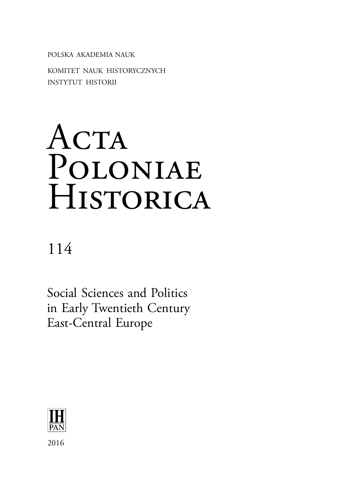POLSKA AKADEMIA NAUK KOMITET NAUK HISTORYCZNYCH INSTYTUT HISTORII

# ACTA Poloniae **HISTORICA**

114

Social Sciences and Politics in Early Twentieth Century East-Central Europe

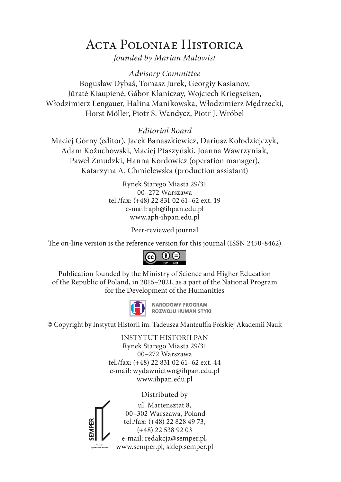## Acta Poloniae Historica

*founded by Marian Małowist*

*Advisory Committee* Bogusław Dybaś, Tomasz Jurek, Georgiy Kasianov, Jūratė Kiaupienė, Gábor Klaniczay, Wojciech Kriegseisen, Włodzimierz Lengauer, Halina Manikowska, Włodzimierz Mędrzecki, Horst Möller, Piotr S. Wandycz, Piotr J. Wróbel

*Editorial Board*

Maciej Górny (editor), Jacek Banaszkiewicz, Dariusz Kołodziejczyk, Adam Kożuchowski, Maciej Ptaszyński, Joanna Wawrzyniak, Paweł Żmudzki, Hanna Kordowicz (operation manager), Katarzyna A. Chmielewska (production assistant)

> Rynek Starego Miasta 29/31 00–272 Warszawa tel./fax: (+48) 22 831 02 61–62 ext. 19 e-mail: aph@ihpan.edu.pl www.aph-ihpan.edu.pl

> > Peer-reviewed journal

The on-line version is the reference version for this journal (ISSN 2450-8462)



Publication founded by the Ministry of Science and Higher Education of the Republic of Poland, in 2016–2021, as a part of the National Program for the Development of the Humanities



**NARODOWY PROGRAM** ROZWOJU HUMANISTYKI

© Copyright by Instytut Historii im. Tadeusza Manteuffla Polskiej Akademii Nauk

INSTYTUT HISTORII PAN Rynek Starego Miasta 29/31 00–272 Warszawa tel./fax: (+48) 22 831 02 61–62 ext. 44 e-mail: wydawnictwo@ihpan.edu.pl www.ihpan.edu.pl

Distributed by



ul. Mariensztat 8, 00–302 Warszawa, Poland tel./fax: (+48) 22 828 49 73, (+48) 22 538 92 03 e-mail: redakcja@semper.pl, www.semper.pl, sklep.semper.pl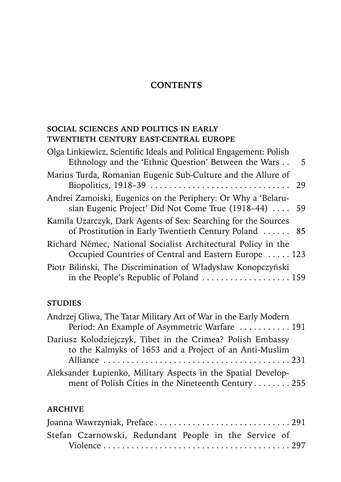### **CONTENTS**

#### **SOCIAL SCIENCES AND POLITICS IN EARLY TWENTIETH CENTURY EAST-CENTRAL EUROPE**

| Olga Linkiewicz, Scientific Ideals and Political Engagement: Polish<br>Ethnology and the 'Ethnic Question' Between the Wars | - 5 |
|-----------------------------------------------------------------------------------------------------------------------------|-----|
| Marius Turda, Romanian Eugenic Sub-Culture and the Allure of                                                                |     |
| Andrei Zamoiski, Eugenics on the Periphery: Or Why a 'Belaru-<br>sian Eugenic Project' Did Not Come True (1918–44)  59      |     |
| Kamila Uzarczyk, Dark Agents of Sex: Searching for the Sources<br>of Prostitution in Early Twentieth Century Poland  85     |     |
| Richard Němec, National Socialist Architectural Policy in the<br>Occupied Countries of Central and Eastern Europe  123      |     |
| Piotr Biliński, The Discrimination of Władysław Konopczyński<br>in the People's Republic of Poland 159                      |     |
|                                                                                                                             |     |

#### **STUDIES**

| Andrzej Gliwa, The Tatar Military Art of War in the Early Modern |
|------------------------------------------------------------------|
| Period: An Example of Asymmetric Warfare  191                    |
| Dariusz Kolodziejczyk, Tibet in the Crimea? Polish Embassy       |
| to the Kalmyks of 1653 and a Project of an Anti-Muslim           |
|                                                                  |
| Aleksander Łupienko, Military Aspects in the Spatial Develop-    |
| ment of Polish Cities in the Nineteenth Century 255              |

#### **ARCHIVE**

| Stefan Czarnowski, Redundant People in the Service of |  |  |  |  |
|-------------------------------------------------------|--|--|--|--|
|                                                       |  |  |  |  |